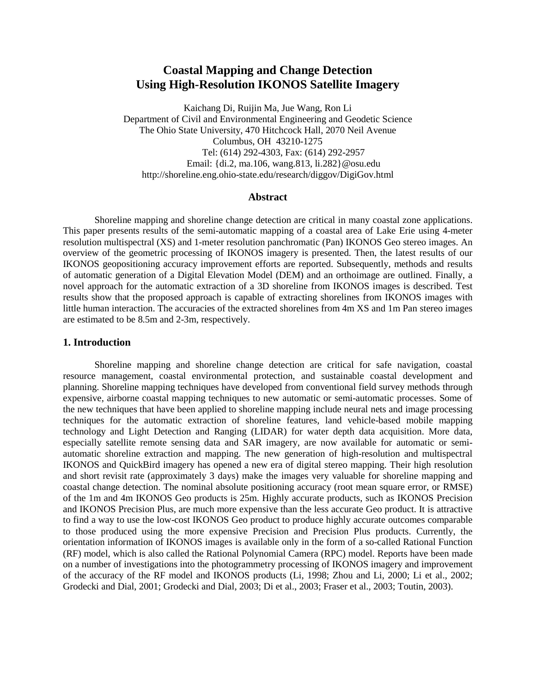# **Coastal Mapping and Change Detection Using High-Resolution IKONOS Satellite Imagery**

Kaichang Di, Ruijin Ma, Jue Wang, Ron Li Department of Civil and Environmental Engineering and Geodetic Science The Ohio State University, 470 Hitchcock Hall, 2070 Neil Avenue Columbus, OH 43210-1275 Tel: (614) 292-4303, Fax: (614) 292-2957 Email: {di.2, ma.106, wang.813, li.282}@osu.edu http://shoreline.eng.ohio-state.edu/research/diggov/DigiGov.html

## **Abstract**

Shoreline mapping and shoreline change detection are critical in many coastal zone applications. This paper presents results of the semi-automatic mapping of a coastal area of Lake Erie using 4-meter resolution multispectral (XS) and 1-meter resolution panchromatic (Pan) IKONOS Geo stereo images. An overview of the geometric processing of IKONOS imagery is presented. Then, the latest results of our IKONOS geopositioning accuracy improvement efforts are reported. Subsequently, methods and results of automatic generation of a Digital Elevation Model (DEM) and an orthoimage are outlined. Finally, a novel approach for the automatic extraction of a 3D shoreline from IKONOS images is described. Test results show that the proposed approach is capable of extracting shorelines from IKONOS images with little human interaction. The accuracies of the extracted shorelines from 4m XS and 1m Pan stereo images are estimated to be 8.5m and 2-3m, respectively.

### **1. Introduction**

Shoreline mapping and shoreline change detection are critical for safe navigation, coastal resource management, coastal environmental protection, and sustainable coastal development and planning. Shoreline mapping techniques have developed from conventional field survey methods through expensive, airborne coastal mapping techniques to new automatic or semi-automatic processes. Some of the new techniques that have been applied to shoreline mapping include neural nets and image processing techniques for the automatic extraction of shoreline features, land vehicle-based mobile mapping technology and Light Detection and Ranging (LIDAR) for water depth data acquisition. More data, especially satellite remote sensing data and SAR imagery, are now available for automatic or semiautomatic shoreline extraction and mapping. The new generation of high-resolution and multispectral IKONOS and QuickBird imagery has opened a new era of digital stereo mapping. Their high resolution and short revisit rate (approximately 3 days) make the images very valuable for shoreline mapping and coastal change detection. The nominal absolute positioning accuracy (root mean square error, or RMSE) of the 1m and 4m IKONOS Geo products is 25m. Highly accurate products, such as IKONOS Precision and IKONOS Precision Plus, are much more expensive than the less accurate Geo product. It is attractive to find a way to use the low-cost IKONOS Geo product to produce highly accurate outcomes comparable to those produced using the more expensive Precision and Precision Plus products. Currently, the orientation information of IKONOS images is available only in the form of a so-called Rational Function (RF) model, which is also called the Rational Polynomial Camera (RPC) model. Reports have been made on a number of investigations into the photogrammetry processing of IKONOS imagery and improvement of the accuracy of the RF model and IKONOS products (Li, 1998; Zhou and Li, 2000; Li et al., 2002; Grodecki and Dial, 2001; Grodecki and Dial, 2003; Di et al., 2003; Fraser et al., 2003; Toutin, 2003).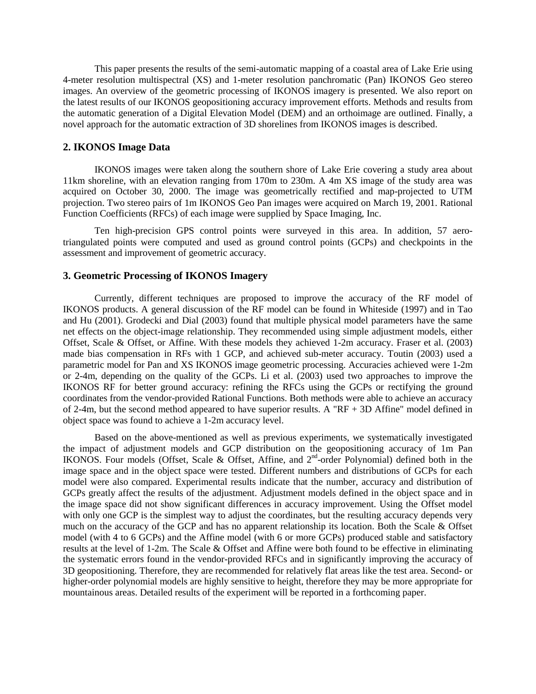This paper presents the results of the semi-automatic mapping of a coastal area of Lake Erie using 4-meter resolution multispectral (XS) and 1-meter resolution panchromatic (Pan) IKONOS Geo stereo images. An overview of the geometric processing of IKONOS imagery is presented. We also report on the latest results of our IKONOS geopositioning accuracy improvement efforts. Methods and results from the automatic generation of a Digital Elevation Model (DEM) and an orthoimage are outlined. Finally, a novel approach for the automatic extraction of 3D shorelines from IKONOS images is described.

# **2. IKONOS Image Data**

IKONOS images were taken along the southern shore of Lake Erie covering a study area about 11km shoreline, with an elevation ranging from 170m to 230m. A 4m XS image of the study area was acquired on October 30, 2000. The image was geometrically rectified and map-projected to UTM projection. Two stereo pairs of 1m IKONOS Geo Pan images were acquired on March 19, 2001. Rational Function Coefficients (RFCs) of each image were supplied by Space Imaging, Inc.

Ten high-precision GPS control points were surveyed in this area. In addition, 57 aerotriangulated points were computed and used as ground control points (GCPs) and checkpoints in the assessment and improvement of geometric accuracy.

### **3. Geometric Processing of IKONOS Imagery**

Currently, different techniques are proposed to improve the accuracy of the RF model of IKONOS products. A general discussion of the RF model can be found in Whiteside (1997) and in Tao and Hu (2001). Grodecki and Dial (2003) found that multiple physical model parameters have the same net effects on the object-image relationship. They recommended using simple adjustment models, either Offset, Scale & Offset, or Affine. With these models they achieved 1-2m accuracy. Fraser et al. (2003) made bias compensation in RFs with 1 GCP, and achieved sub-meter accuracy. Toutin (2003) used a parametric model for Pan and XS IKONOS image geometric processing. Accuracies achieved were 1-2m or 2-4m, depending on the quality of the GCPs. Li et al. (2003) used two approaches to improve the IKONOS RF for better ground accuracy: refining the RFCs using the GCPs or rectifying the ground coordinates from the vendor-provided Rational Functions. Both methods were able to achieve an accuracy of 2-4m, but the second method appeared to have superior results. A "RF + 3D Affine" model defined in object space was found to achieve a 1-2m accuracy level.

Based on the above-mentioned as well as previous experiments, we systematically investigated the impact of adjustment models and GCP distribution on the geopositioning accuracy of 1m Pan IKONOS. Four models (Offset, Scale & Offset, Affine, and 2nd-order Polynomial) defined both in the image space and in the object space were tested. Different numbers and distributions of GCPs for each model were also compared. Experimental results indicate that the number, accuracy and distribution of GCPs greatly affect the results of the adjustment. Adjustment models defined in the object space and in the image space did not show significant differences in accuracy improvement. Using the Offset model with only one GCP is the simplest way to adjust the coordinates, but the resulting accuracy depends very much on the accuracy of the GCP and has no apparent relationship its location. Both the Scale & Offset model (with 4 to 6 GCPs) and the Affine model (with 6 or more GCPs) produced stable and satisfactory results at the level of 1-2m. The Scale & Offset and Affine were both found to be effective in eliminating the systematic errors found in the vendor-provided RFCs and in significantly improving the accuracy of 3D geopositioning. Therefore, they are recommended for relatively flat areas like the test area. Second- or higher-order polynomial models are highly sensitive to height, therefore they may be more appropriate for mountainous areas. Detailed results of the experiment will be reported in a forthcoming paper.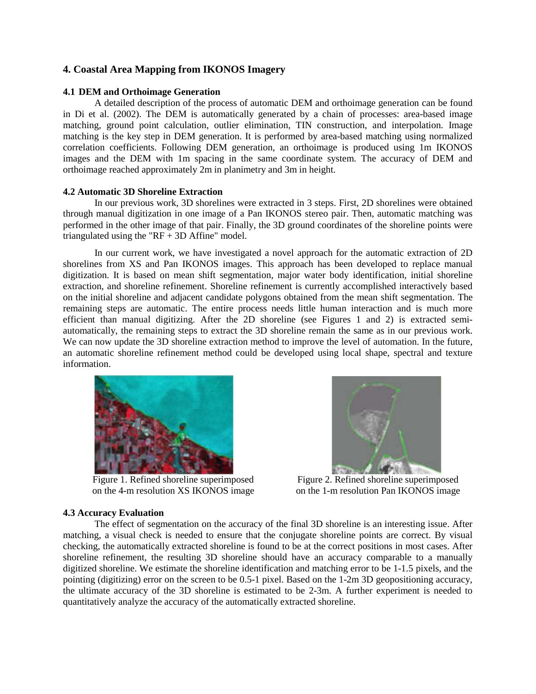# **4. Coastal Area Mapping from IKONOS Imagery**

#### **4.1 DEM and Orthoimage Generation**

A detailed description of the process of automatic DEM and orthoimage generation can be found in Di et al. (2002). The DEM is automatically generated by a chain of processes: area-based image matching, ground point calculation, outlier elimination, TIN construction, and interpolation. Image matching is the key step in DEM generation. It is performed by area-based matching using normalized correlation coefficients. Following DEM generation, an orthoimage is produced using 1m IKONOS images and the DEM with 1m spacing in the same coordinate system. The accuracy of DEM and orthoimage reached approximately 2m in planimetry and 3m in height.

#### **4.2 Automatic 3D Shoreline Extraction**

In our previous work, 3D shorelines were extracted in 3 steps. First, 2D shorelines were obtained through manual digitization in one image of a Pan IKONOS stereo pair. Then, automatic matching was performed in the other image of that pair. Finally, the 3D ground coordinates of the shoreline points were triangulated using the " $RF + 3D$  Affine" model.

In our current work, we have investigated a novel approach for the automatic extraction of 2D shorelines from XS and Pan IKONOS images. This approach has been developed to replace manual digitization. It is based on mean shift segmentation, major water body identification, initial shoreline extraction, and shoreline refinement. Shoreline refinement is currently accomplished interactively based on the initial shoreline and adjacent candidate polygons obtained from the mean shift segmentation. The remaining steps are automatic. The entire process needs little human interaction and is much more efficient than manual digitizing. After the 2D shoreline (see Figures 1 and 2) is extracted semiautomatically, the remaining steps to extract the 3D shoreline remain the same as in our previous work. We can now update the 3D shoreline extraction method to improve the level of automation. In the future, an automatic shoreline refinement method could be developed using local shape, spectral and texture information.



Figure 1. Refined shoreline superimposed Figure 2. Refined shoreline superimposed



on the 4-m resolution XS IKONOS image on the 1-m resolution Pan IKONOS image

#### **4.3 Accuracy Evaluation**

The effect of segmentation on the accuracy of the final 3D shoreline is an interesting issue. After matching, a visual check is needed to ensure that the conjugate shoreline points are correct. By visual checking, the automatically extracted shoreline is found to be at the correct positions in most cases. After shoreline refinement, the resulting 3D shoreline should have an accuracy comparable to a manually digitized shoreline. We estimate the shoreline identification and matching error to be 1-1.5 pixels, and the pointing (digitizing) error on the screen to be 0.5-1 pixel. Based on the 1-2m 3D geopositioning accuracy, the ultimate accuracy of the 3D shoreline is estimated to be 2-3m. A further experiment is needed to quantitatively analyze the accuracy of the automatically extracted shoreline.